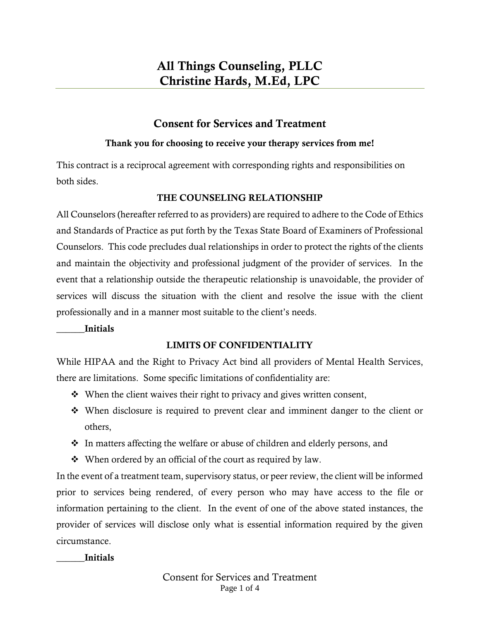# Consent for Services and Treatment

### Thank you for choosing to receive your therapy services from me!

This contract is a reciprocal agreement with corresponding rights and responsibilities on both sides.

## THE COUNSELING RELATIONSHIP

All Counselors (hereafter referred to as providers) are required to adhere to the Code of Ethics and Standards of Practice as put forth by the Texas State Board of Examiners of Professional Counselors. This code precludes dual relationships in order to protect the rights of the clients and maintain the objectivity and professional judgment of the provider of services. In the event that a relationship outside the therapeutic relationship is unavoidable, the provider of services will discuss the situation with the client and resolve the issue with the client professionally and in a manner most suitable to the client's needs.

\_\_\_\_\_\_Initials

## LIMITS OF CONFIDENTIALITY

While HIPAA and the Right to Privacy Act bind all providers of Mental Health Services, there are limitations. Some specific limitations of confidentiality are:

- ❖ When the client waives their right to privacy and gives written consent,
- ❖ When disclosure is required to prevent clear and imminent danger to the client or others,
- ❖ In matters affecting the welfare or abuse of children and elderly persons, and
- ❖ When ordered by an official of the court as required by law.

In the event of a treatment team, supervisory status, or peer review, the client will be informed prior to services being rendered, of every person who may have access to the file or information pertaining to the client. In the event of one of the above stated instances, the provider of services will disclose only what is essential information required by the given circumstance.

\_\_\_\_\_\_Initials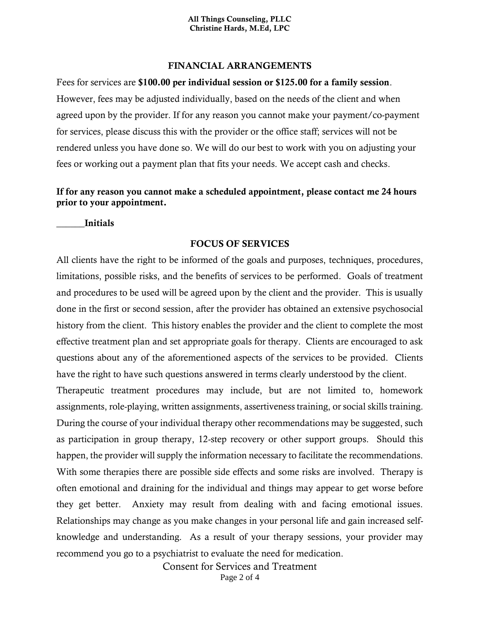#### FINANCIAL ARRANGEMENTS

Fees for services are \$100.00 per individual session or \$125.00 for a family session. However, fees may be adjusted individually, based on the needs of the client and when agreed upon by the provider. If for any reason you cannot make your payment/co-payment for services, please discuss this with the provider or the office staff; services will not be rendered unless you have done so. We will do our best to work with you on adjusting your fees or working out a payment plan that fits your needs. We accept cash and checks.

### If for any reason you cannot make a scheduled appointment, please contact me 24 hours prior to your appointment.

\_\_\_\_\_\_Initials

### FOCUS OF SERVICES

All clients have the right to be informed of the goals and purposes, techniques, procedures, limitations, possible risks, and the benefits of services to be performed. Goals of treatment and procedures to be used will be agreed upon by the client and the provider. This is usually done in the first or second session, after the provider has obtained an extensive psychosocial history from the client. This history enables the provider and the client to complete the most effective treatment plan and set appropriate goals for therapy. Clients are encouraged to ask questions about any of the aforementioned aspects of the services to be provided. Clients have the right to have such questions answered in terms clearly understood by the client.

Therapeutic treatment procedures may include, but are not limited to, homework assignments, role-playing, written assignments, assertiveness training, or social skills training. During the course of your individual therapy other recommendations may be suggested, such as participation in group therapy, 12-step recovery or other support groups. Should this happen, the provider will supply the information necessary to facilitate the recommendations. With some therapies there are possible side effects and some risks are involved. Therapy is often emotional and draining for the individual and things may appear to get worse before they get better. Anxiety may result from dealing with and facing emotional issues. Relationships may change as you make changes in your personal life and gain increased selfknowledge and understanding. As a result of your therapy sessions, your provider may recommend you go to a psychiatrist to evaluate the need for medication.

Consent for Services and Treatment

Page 2 of 4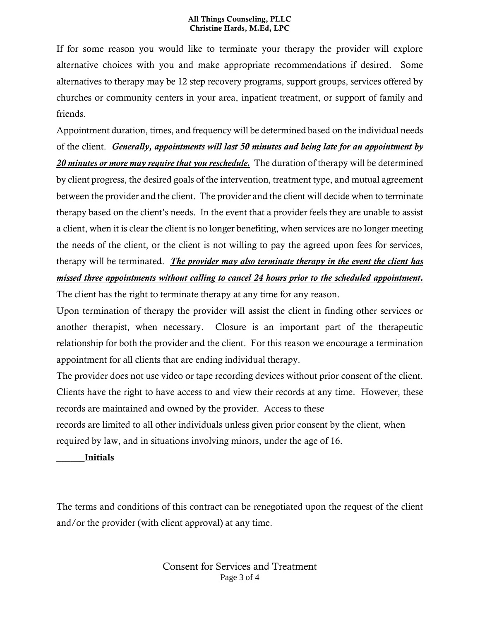#### All Things Counseling, PLLC Christine Hards, M.Ed, LPC

If for some reason you would like to terminate your therapy the provider will explore alternative choices with you and make appropriate recommendations if desired. Some alternatives to therapy may be 12 step recovery programs, support groups, services offered by churches or community centers in your area, inpatient treatment, or support of family and friends.

Appointment duration, times, and frequency will be determined based on the individual needs of the client. *Generally, appointments will last 50 minutes and being late for an appointment by 20 minutes or more may require that you reschedule.* The duration of therapy will be determined by client progress, the desired goals of the intervention, treatment type, and mutual agreement between the provider and the client. The provider and the client will decide when to terminate therapy based on the client's needs. In the event that a provider feels they are unable to assist a client, when it is clear the client is no longer benefiting, when services are no longer meeting the needs of the client, or the client is not willing to pay the agreed upon fees for services, therapy will be terminated. *The provider may also terminate therapy in the event the client has missed three appointments without calling to cancel 24 hours prior to the scheduled appointment.*

The client has the right to terminate therapy at any time for any reason.

Upon termination of therapy the provider will assist the client in finding other services or another therapist, when necessary. Closure is an important part of the therapeutic relationship for both the provider and the client. For this reason we encourage a termination appointment for all clients that are ending individual therapy.

The provider does not use video or tape recording devices without prior consent of the client. Clients have the right to have access to and view their records at any time. However, these records are maintained and owned by the provider. Access to these

records are limited to all other individuals unless given prior consent by the client, when required by law, and in situations involving minors, under the age of 16.

\_\_\_\_\_\_Initials

The terms and conditions of this contract can be renegotiated upon the request of the client and/or the provider (with client approval) at any time.